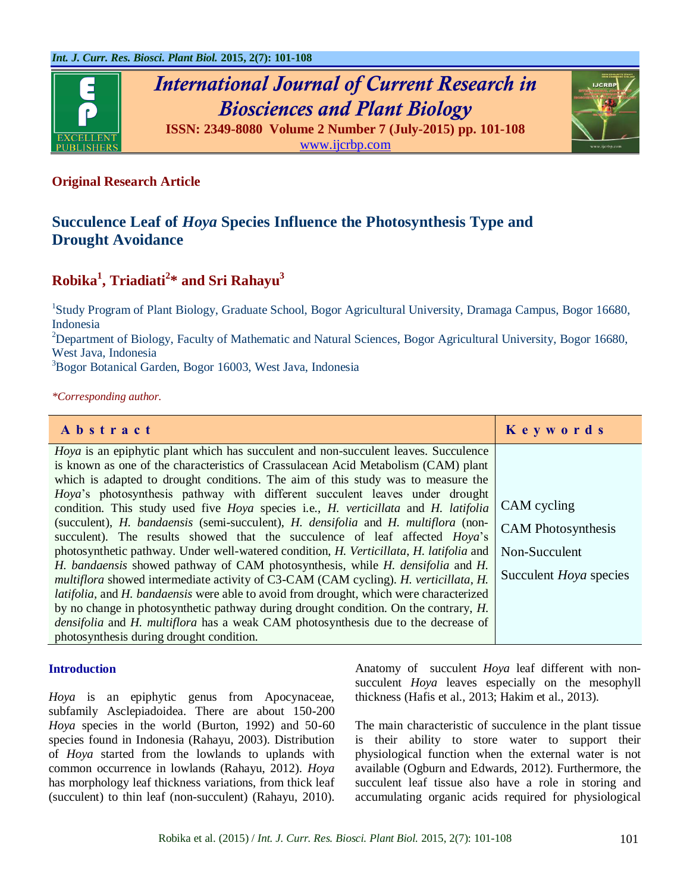

# *International Journal of Current Research in Biosciences and Plant Biology*



**ISSN: 2349-8080 Volume 2 Number 7 (July-2015) pp. 101-108** [www.ijcrbp.com](http://www.ijcrbp.com/)

# **Original Research Article**

# **Succulence Leaf of** *Hoya* **Species Influence the Photosynthesis Type and Drought Avoidance**

# **Robika<sup>1</sup> , Triadiati<sup>2</sup> \* and Sri Rahayu<sup>3</sup>**

<sup>1</sup>Study Program of Plant Biology, Graduate School, Bogor Agricultural University, Dramaga Campus, Bogor 16680, Indonesia

<sup>2</sup>Department of Biology, Faculty of Mathematic and Natural Sciences, Bogor Agricultural University, Bogor 16680, West Java, Indonesia

<sup>3</sup>Bogor Botanical Garden, Bogor 16003, West Java, Indonesia

*\*Corresponding author.*

| Abstract                                                                                                                                                                                                                                                                                                                                                                                                                                                                                                                                                                                                                                                                                                                                                                                                                                                                                                                                                                                                                        | Keywords                                                                                   |
|---------------------------------------------------------------------------------------------------------------------------------------------------------------------------------------------------------------------------------------------------------------------------------------------------------------------------------------------------------------------------------------------------------------------------------------------------------------------------------------------------------------------------------------------------------------------------------------------------------------------------------------------------------------------------------------------------------------------------------------------------------------------------------------------------------------------------------------------------------------------------------------------------------------------------------------------------------------------------------------------------------------------------------|--------------------------------------------------------------------------------------------|
| <i>Hoya</i> is an epiphytic plant which has succulent and non-succulent leaves. Succulence<br>is known as one of the characteristics of Crassulacean Acid Metabolism (CAM) plant<br>which is adapted to drought conditions. The aim of this study was to measure the<br>Hoya's photosynthesis pathway with different succulent leaves under drought<br>condition. This study used five <i>Hoya</i> species i.e., <i>H. verticillata</i> and <i>H. latifolia</i><br>(succulent), H. bandaensis (semi-succulent), H. densifolia and H. multiflora (non-<br>succulent). The results showed that the succulence of leaf affected Hoya's<br>photosynthetic pathway. Under well-watered condition, H. Verticillata, H. latifolia and<br>H. bandaensis showed pathway of CAM photosynthesis, while H. densifolia and H.<br><i>multiflora</i> showed intermediate activity of C3-CAM (CAM cycling). <i>H. verticillata, H.</i><br><i>latifolia</i> , and <i>H. bandaensis</i> were able to avoid from drought, which were characterized | CAM cycling<br><b>CAM</b> Photosynthesis<br>Non-Succulent<br>Succulent <i>Hoya</i> species |
| by no change in photosynthetic pathway during drought condition. On the contrary, H.<br><i>densifolia</i> and <i>H. multiflora</i> has a weak CAM photosynthesis due to the decrease of                                                                                                                                                                                                                                                                                                                                                                                                                                                                                                                                                                                                                                                                                                                                                                                                                                         |                                                                                            |
| photosynthesis during drought condition.                                                                                                                                                                                                                                                                                                                                                                                                                                                                                                                                                                                                                                                                                                                                                                                                                                                                                                                                                                                        |                                                                                            |

# **Introduction**

*Hoya* is an epiphytic genus from Apocynaceae, subfamily Asclepiadoidea. There are about 150-200 *Hoya* species in the world (Burton, 1992) and 50-60 species found in Indonesia (Rahayu, 2003). Distribution of *Hoya* started from the lowlands to uplands with common occurrence in lowlands (Rahayu, 2012). *Hoya* has morphology leaf thickness variations, from thick leaf (succulent) to thin leaf (non-succulent) (Rahayu, 2010). Anatomy of succulent *Hoya* leaf different with nonsucculent *Hoya* leaves especially on the mesophyll thickness (Hafis et al., 2013; Hakim et al., 2013).

The main characteristic of succulence in the plant tissue is their ability to store water to support their physiological function when the external water is not available (Ogburn and Edwards, 2012). Furthermore, the succulent leaf tissue also have a role in storing and accumulating organic acids required for physiological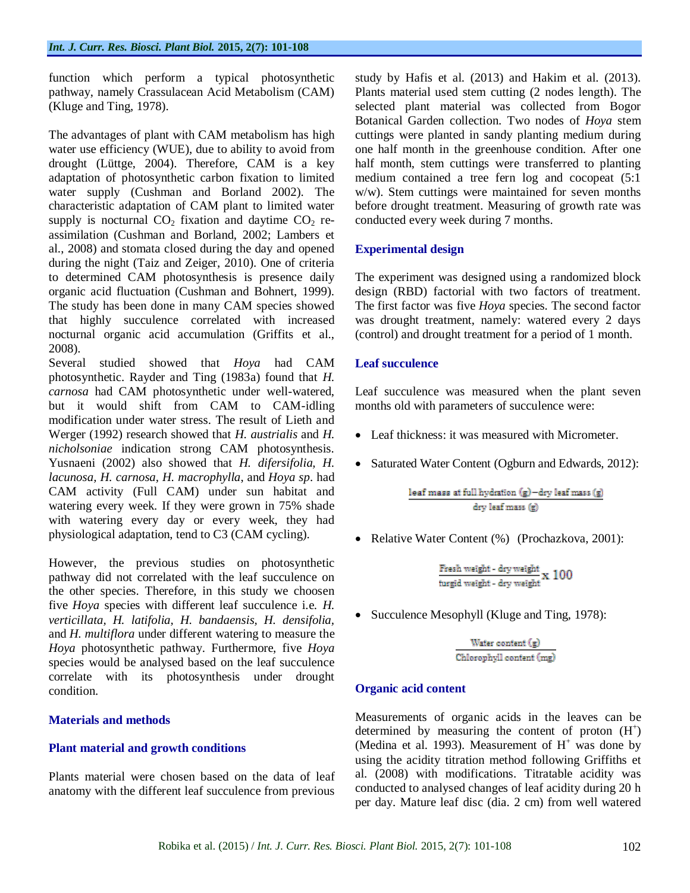function which perform a typical photosynthetic pathway, namely Crassulacean Acid Metabolism (CAM) (Kluge and Ting, 1978).

The advantages of plant with CAM metabolism has high water use efficiency (WUE), due to ability to avoid from drought (Lüttge, 2004). Therefore, CAM is a key adaptation of photosynthetic carbon fixation to limited water supply (Cushman and Borland 2002). The characteristic adaptation of CAM plant to limited water supply is nocturnal  $CO<sub>2</sub>$  fixation and daytime  $CO<sub>2</sub>$  reassimilation (Cushman and Borland, 2002; Lambers et al., 2008) and stomata closed during the day and opened during the night (Taiz and Zeiger, 2010). One of criteria to determined CAM photosynthesis is presence daily organic acid fluctuation (Cushman and Bohnert, 1999). The study has been done in many CAM species showed that highly succulence correlated with increased nocturnal organic acid accumulation (Griffits et al., 2008).

Several studied showed that *Hoya* had CAM photosynthetic. Rayder and Ting (1983a) found that *H. carnosa* had CAM photosynthetic under well-watered, but it would shift from CAM to CAM-idling modification under water stress. The result of Lieth and Werger (1992) research showed that *H. austrialis* and *H. nicholsoniae* indication strong CAM photosynthesis. Yusnaeni (2002) also showed that *H. difersifolia, H. lacunosa, H. carnosa, H. macrophylla*, and *Hoya sp*. had CAM activity (Full CAM) under sun habitat and watering every week. If they were grown in 75% shade with watering every day or every week, they had physiological adaptation, tend to C3 (CAM cycling).

However, the previous studies on photosynthetic pathway did not correlated with the leaf succulence on the other species. Therefore, in this study we choosen five *Hoya* species with different leaf succulence i.e. *H. verticillata, H. latifolia, H. bandaensis, H. densifolia,*  and *H. multiflora* under different watering to measure the *Hoya* photosynthetic pathway. Furthermore, five *Hoya* species would be analysed based on the leaf succulence correlate with its photosynthesis under drought condition.

# **Materials and methods**

# **Plant material and growth conditions**

Plants material were chosen based on the data of leaf anatomy with the different leaf succulence from previous

study by Hafis et al. (2013) and Hakim et al. (2013). Plants material used stem cutting (2 nodes length). The selected plant material was collected from Bogor Botanical Garden collection. Two nodes of *Hoya* stem cuttings were planted in sandy planting medium during one half month in the greenhouse condition. After one half month, stem cuttings were transferred to planting medium contained a tree fern log and cocopeat (5:1 w/w). Stem cuttings were maintained for seven months before drought treatment. Measuring of growth rate was conducted every week during 7 months.

# **Experimental design**

The experiment was designed using a randomized block design (RBD) factorial with two factors of treatment. The first factor was five *Hoya* species. The second factor was drought treatment, namely: watered every 2 days (control) and drought treatment for a period of 1 month.

# **Leaf succulence**

Leaf succulence was measured when the plant seven months old with parameters of succulence were:

- Leaf thickness: it was measured with Micrometer.
- Saturated Water Content (Ogburn and Edwards, 2012):

• Relative Water Content (%) (Prochazkova, 2001):

 $\frac{\text{Fresh weight - dry weight}}{\text{turgid weight - dry weight}} \text{x } 100$ 

• Succulence Mesophyll (Kluge and Ting, 1978):

 $\frac{\text{Water content (g)}}{\text{Chlorophyll content (mg)}}$ 

# **Organic acid content**

Measurements of organic acids in the leaves can be determined by measuring the content of proton  $(H<sup>+</sup>)$ (Medina et al. 1993). Measurement of  $H^+$  was done by using the acidity titration method following Griffiths et al. (2008) with modifications. Titratable acidity was conducted to analysed changes of leaf acidity during 20 h per day. Mature leaf disc (dia. 2 cm) from well watered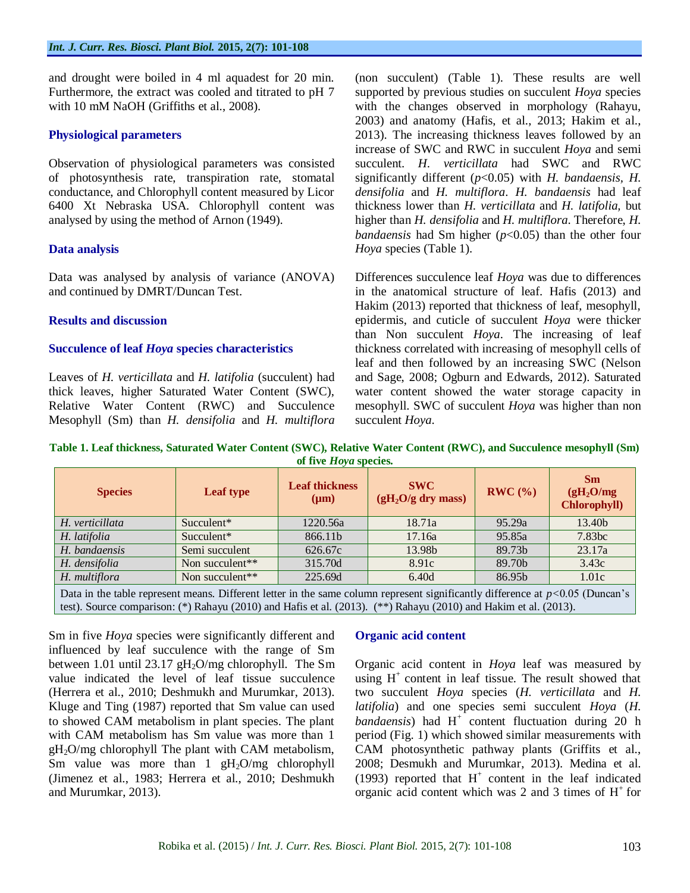and drought were boiled in 4 ml aquadest for 20 min. Furthermore, the extract was cooled and titrated to pH 7 with 10 mM NaOH (Griffiths et al., 2008).

# **Physiological parameters**

Observation of physiological parameters was consisted of photosynthesis rate, transpiration rate, stomatal conductance, and Chlorophyll content measured by Licor 6400 Xt Nebraska USA. Chlorophyll content was analysed by using the method of Arnon (1949).

# **Data analysis**

Data was analysed by analysis of variance (ANOVA) and continued by DMRT/Duncan Test.

#### **Results and discussion**

#### **Succulence of leaf** *Hoya* **species characteristics**

Leaves of *H. verticillata* and *H. latifolia* (succulent) had thick leaves, higher Saturated Water Content (SWC), Relative Water Content (RWC) and Succulence Mesophyll (Sm) than *H. densifolia* and *H. multiflora* (non succulent) (Table 1). These results are well supported by previous studies on succulent *Hoya* species with the changes observed in morphology (Rahayu, 2003) and anatomy (Hafis, et al., 2013; Hakim et al., 2013). The increasing thickness leaves followed by an increase of SWC and RWC in succulent *Hoya* and semi succulent. *H*. *verticillata* had SWC and RWC significantly different (*p*<0.05) with *H. bandaensis, H. densifolia* and *H. multiflora*. *H. bandaensis* had leaf thickness lower than *H. verticillata* and *H. latifolia,* but higher than *H. densifolia* and *H. multiflora*. Therefore, *H. bandaensis* had Sm higher ( $p<0.05$ ) than the other four *Hoya* species (Table 1).

Differences succulence leaf *Hoya* was due to differences in the anatomical structure of leaf. Hafis (2013) and Hakim (2013) reported that thickness of leaf, mesophyll, epidermis, and cuticle of succulent *Hoya* were thicker than Non succulent *Hoya*. The increasing of leaf thickness correlated with increasing of mesophyll cells of leaf and then followed by an increasing SWC (Nelson and Sage, 2008; Ogburn and Edwards, 2012). Saturated water content showed the water storage capacity in mesophyll. SWC of succulent *Hoya* was higher than non succulent *Hoya*.

**Table 1. Leaf thickness, Saturated Water Content (SWC), Relative Water Content (RWC), and Succulence mesophyll (Sm) of five** *Hoya* **species.**

| <b>Species</b>                                                                                                                         | Leaf type       | <b>Leaf thickness</b><br>$(\mu m)$ | <b>SWC</b><br>$(gH2O/g$ dry mass) | RWC(%) | Sm<br>(gH <sub>2</sub> O/mg)<br><b>Chlorophyll)</b> |  |
|----------------------------------------------------------------------------------------------------------------------------------------|-----------------|------------------------------------|-----------------------------------|--------|-----------------------------------------------------|--|
| H. verticillata                                                                                                                        | Succulent*      | 1220.56a                           | 18.71a                            | 95.29a | 13.40b                                              |  |
| H. latifolia                                                                                                                           | Succulent*      | 866.11b                            | 17.16a                            | 95.85a | 7.83 <sub>bc</sub>                                  |  |
| H. bandaensis                                                                                                                          | Semi succulent  | 626.67c                            | 13.98b                            | 89.73b | 23.17a                                              |  |
| H. densifolia                                                                                                                          | Non succulent** | 315.70d                            | 8.91c                             | 89.70b | 3.43c                                               |  |
| H. multiflora                                                                                                                          | Non succulent** | 225.69d                            | 6.40d                             | 86.95b | 1.01c                                               |  |
| Dete in the table represent means. Different letter in the same column represent significantly difference at $\approx 0.05$ (Dynesen's |                 |                                    |                                   |        |                                                     |  |

Data in the table represent means. Different letter in the same column represent significantly difference at *p<*0.05 (Duncan's test). Source comparison: (\*) Rahayu (2010) and Hafis et al*.* (2013). (\*\*) Rahayu (2010) and Hakim et al. (2013).

Sm in five *Hoya* species were significantly different and influenced by leaf succulence with the range of Sm between 1.01 until 23.17 gH<sub>2</sub>O/mg chlorophyll. The Sm value indicated the level of leaf tissue succulence (Herrera et al., 2010; Deshmukh and Murumkar, 2013). Kluge and Ting (1987) reported that Sm value can used to showed CAM metabolism in plant species. The plant with CAM metabolism has Sm value was more than 1  $gH<sub>2</sub>O/mg$  chlorophyll The plant with CAM metabolism, Sm value was more than  $1 \text{ gH}_2\text{O/mg}$  chlorophyll (Jimenez et al., 1983; Herrera et al., 2010; Deshmukh and Murumkar, 2013).

# **Organic acid content**

Organic acid content in *Hoya* leaf was measured by using  $H^+$  content in leaf tissue. The result showed that two succulent *Hoya* species (*H. verticillata* and *H. latifolia*) and one species semi succulent *Hoya* (*H.*  bandaensis) had H<sup>+</sup> content fluctuation during 20 h period (Fig. 1) which showed similar measurements with CAM photosynthetic pathway plants (Griffits et al., 2008; Desmukh and Murumkar, 2013). Medina et al. (1993) reported that  $H^+$  content in the leaf indicated organic acid content which was 2 and 3 times of  $H^+$  for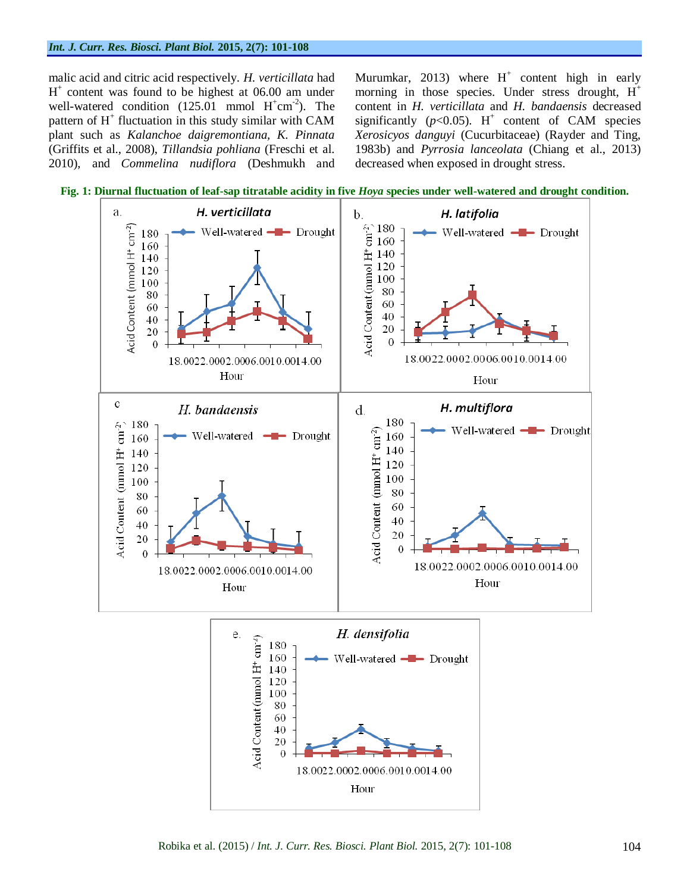malic acid and citric acid respectively. *H. verticillata* had H + content was found to be highest at 06.00 am under well-watered condition  $(125.01 \text{ mmol H}^+ \text{cm}^{-2})$ . The pattern of H<sup>+</sup> fluctuation in this study similar with CAM plant such as *Kalanchoe daigremontiana, K. Pinnata*  (Griffits et al., 2008), *Tillandsia pohliana* (Freschi et al. 2010), and *Commelina nudiflora* (Deshmukh and

Murumkar, 2013) where  $H^+$  content high in early morning in those species. Under stress drought,  $H^+$ content in *H. verticillata* and *H. bandaensis* decreased significantly  $(p<0.05)$ . H<sup>+</sup> content of CAM species *Xerosicyos danguyi* (Cucurbitaceae) (Rayder and Ting, 1983b) and *Pyrrosia lanceolata* (Chiang et al., 2013) decreased when exposed in drought stress.



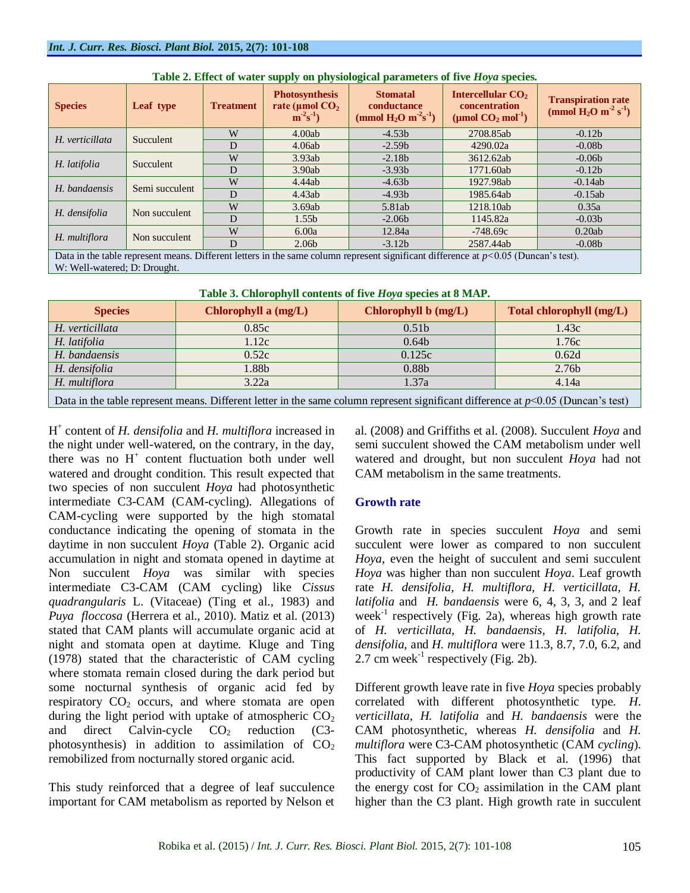| <b>Species</b>                                                                                                                        | Leaf type        | <b>Treatment</b> | <b>Photosynthesis</b><br>rate ( $\mu$ mol CO <sub>2</sub><br>$m^{-2}s^{-1}$ | <b>Stomatal</b><br>conductance<br>(mmol $H_2O \text{ m}^2\text{s}^{-1}$ ) | Intercellular CO <sub>2</sub><br>concentration<br>(µmol $CO2$ mol <sup>-1</sup> ) | <b>Transpiration rate</b><br>(mmol $H_2O$ m <sup>-2</sup> s <sup>-1</sup> ) |
|---------------------------------------------------------------------------------------------------------------------------------------|------------------|------------------|-----------------------------------------------------------------------------|---------------------------------------------------------------------------|-----------------------------------------------------------------------------------|-----------------------------------------------------------------------------|
| H. verticillata                                                                                                                       | <b>Succulent</b> | W                | 4.00ab                                                                      | $-4.53b$                                                                  | 2708.85ab                                                                         | $-0.12b$                                                                    |
|                                                                                                                                       |                  | D                | 4.06ab                                                                      | $-2.59b$                                                                  | 4290.02a                                                                          | $-0.08b$                                                                    |
|                                                                                                                                       |                  | W                | 3.93ab                                                                      | $-2.18b$                                                                  | 3612.62ab                                                                         | $-0.06b$                                                                    |
| H. latifolia                                                                                                                          | Succulent        | D                | 3.90ab                                                                      | $-3.93b$                                                                  | 1771.60ab                                                                         | $-0.12b$                                                                    |
| H. bandaensis                                                                                                                         | Semi succulent   | W                | 4.44ab                                                                      | $-4.63b$                                                                  | 1927.98ab                                                                         | $-0.14ab$                                                                   |
|                                                                                                                                       |                  | D                | 4.43ab                                                                      | $-4.93b$                                                                  | 1985.64ab                                                                         | $-0.15ab$                                                                   |
| H. densifolia<br>Non succulent                                                                                                        |                  | W                | 3.69ab                                                                      | 5.81ab                                                                    | 1218.10ab                                                                         | 0.35a                                                                       |
|                                                                                                                                       |                  | D                | 1.55 <sub>b</sub>                                                           | $-2.06b$                                                                  | 1145.82a                                                                          | $-0.03b$                                                                    |
| H. multiflora                                                                                                                         | Non succulent    | W                | 6.00a                                                                       | 12.84a                                                                    | $-748.69c$                                                                        | 0.20ab                                                                      |
|                                                                                                                                       |                  | D                | 2.06 <sub>b</sub>                                                           | $-3.12b$                                                                  | 2587.44ab                                                                         | $-0.08b$                                                                    |
| Data in the table represent means. Different letters in the same column represent significant difference at $p<0.05$ (Duncan's test). |                  |                  |                                                                             |                                                                           |                                                                                   |                                                                             |

|  |  | Table 2. Effect of water supply on physiological parameters of five Hoya species. |  |  |
|--|--|-----------------------------------------------------------------------------------|--|--|
|  |  |                                                                                   |  |  |

Data in the table represent means. Different letters in the same column represent significant difference at *p<*0.05 (Duncan's test). W: Well-watered; D: Drought.

|  |  | Table 3. Chlorophyll contents of five Hoya species at 8 MAP. |  |
|--|--|--------------------------------------------------------------|--|
|  |  |                                                              |  |

| <u>xwest of children partie convenied of internal properties</u> we original                                                        |                        |                      |                          |  |  |  |
|-------------------------------------------------------------------------------------------------------------------------------------|------------------------|----------------------|--------------------------|--|--|--|
| <b>Species</b>                                                                                                                      | Chlorophyll a $(mg/L)$ | Chlorophyll b (mg/L) | Total chlorophyll (mg/L) |  |  |  |
| H. verticillata                                                                                                                     | 0.85c                  | 0.51 <sub>b</sub>    | 1.43c                    |  |  |  |
| H. latifolia                                                                                                                        | 1.12c                  | 0.64 <sub>b</sub>    | 1.76c                    |  |  |  |
| H. bandaensis                                                                                                                       | 0.52c                  | 0.125c               | 0.62d                    |  |  |  |
| 0.88 <sub>b</sub><br>H. densifolia<br>1.88b<br>2.76b                                                                                |                        |                      |                          |  |  |  |
| H. multiflora<br>3.22a<br>1.37a<br>4.14a                                                                                            |                        |                      |                          |  |  |  |
| Data in the table represent means. Different letter in the same column represent significant difference at $p<0.05$ (Duncan's test) |                        |                      |                          |  |  |  |

H + content of *H. densifolia* and *H. multiflora* increased in the night under well-watered, on the contrary, in the day, there was no  $H^+$  content fluctuation both under well watered and drought condition. This result expected that two species of non succulent *Hoya* had photosynthetic intermediate C3-CAM (CAM-cycling). Allegations of CAM-cycling were supported by the high stomatal conductance indicating the opening of stomata in the daytime in non succulent *Hoya* (Table 2). Organic acid accumulation in night and stomata opened in daytime at Non succulent *Hoya* was similar with species intermediate C3-CAM (CAM cycling) like *Cissus quadrangularis* L. (Vitaceae) (Ting et al., 1983) and *Puya floccosa* (Herrera et al., 2010). Matiz et al. (2013) stated that CAM plants will accumulate organic acid at night and stomata open at daytime. Kluge and Ting (1978) stated that the characteristic of CAM cycling where stomata remain closed during the dark period but some nocturnal synthesis of organic acid fed by respiratory  $CO<sub>2</sub>$  occurs, and where stomata are open during the light period with uptake of atmospheric  $CO<sub>2</sub>$ and direct Calvin-cycle  $CO<sub>2</sub>$  reduction (C3photosynthesis) in addition to assimilation of  $CO<sub>2</sub>$ remobilized from nocturnally stored organic acid.

This study reinforced that a degree of leaf succulence important for CAM metabolism as reported by Nelson et

al. (2008) and Griffiths et al. (2008). Succulent *Hoya* and semi succulent showed the CAM metabolism under well watered and drought, but non succulent *Hoya* had not CAM metabolism in the same treatments.

# **Growth rate**

Growth rate in species succulent *Hoya* and semi succulent were lower as compared to non succulent *Hoya*, even the height of succulent and semi succulent *Hoya* was higher than non succulent *Hoya*. Leaf growth rate *H. densifolia, H. multiflora, H. verticillata, H. latifolia* and *H. bandaensis* were 6, 4, 3, 3, and 2 leaf week $^{-1}$  respectively (Fig. 2a), whereas high growth rate of *H. verticillata, H. bandaensis, H. latifolia, H. densifolia,* and *H. multiflora* were 11.3, 8.7, 7.0, 6.2, and 2.7 cm week<sup>-1</sup> respectively (Fig. 2b).

Different growth leave rate in five *Hoya* species probably correlated with different photosynthetic type. *H*. *verticillata, H. latifolia* and *H. bandaensis* were the CAM photosynthetic, whereas *H. densifolia* and *H. multiflora* were C3-CAM photosynthetic (CAM *cycling*). This fact supported by Black et al. (1996) that productivity of CAM plant lower than C3 plant due to the energy cost for  $CO<sub>2</sub>$  assimilation in the CAM plant higher than the C3 plant. High growth rate in succulent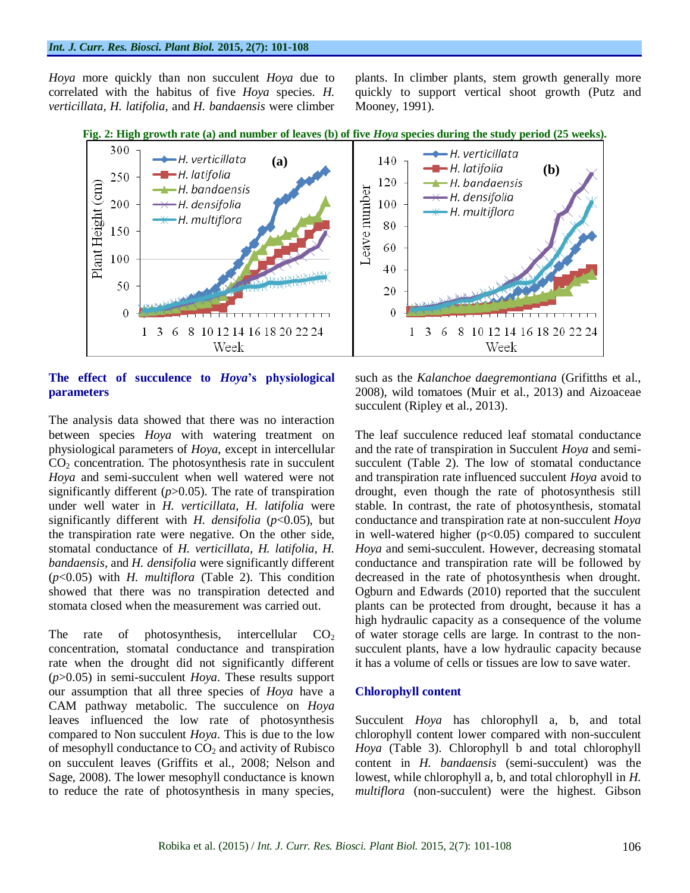#### *Int. J. Curr. Res. Biosci. Plant Biol.* **2015, 2(7): 101-108**

*Hoya* more quickly than non succulent *Hoya* due to correlated with the habitus of five *Hoya* species. *H. verticillata, H. latifolia,* and *H. bandaensis* were climber plants. In climber plants, stem growth generally more quickly to support vertical shoot growth (Putz and Mooney, 1991).





# **The effect of succulence to** *Hoya***'s physiological parameters**

The analysis data showed that there was no interaction between species *Hoya* with watering treatment on physiological parameters of *Hoya*, except in intercellular  $CO<sub>2</sub>$  concentration. The photosynthesis rate in succulent *Hoya* and semi-succulent when well watered were not significantly different  $(p>0.05)$ . The rate of transpiration under well water in *H. verticillata, H. latifolia* were significantly different with *H. densifolia* (*p*<0.05), but the transpiration rate were negative. On the other side, stomatal conductance of *H. verticillata, H. latifolia, H. bandaensis*, and *H. densifolia* were significantly different (*p*<0.05) with *H. multiflora* (Table 2). This condition showed that there was no transpiration detected and stomata closed when the measurement was carried out.

The rate of photosynthesis, intercellular  $CO<sub>2</sub>$ concentration, stomatal conductance and transpiration rate when the drought did not significantly different (*p*>0.05) in semi-succulent *Hoya*. These results support our assumption that all three species of *Hoya* have a CAM pathway metabolic. The succulence on *Hoya* leaves influenced the low rate of photosynthesis compared to Non succulent *Hoya*. This is due to the low of mesophyll conductance to  $CO<sub>2</sub>$  and activity of Rubisco on succulent leaves (Griffits et al., 2008; Nelson and Sage, 2008). The lower mesophyll conductance is known to reduce the rate of photosynthesis in many species,

such as the *Kalanchoe daegremontiana* (Grifitths et al., 2008), wild tomatoes (Muir et al., 2013) and Aizoaceae succulent (Ripley et al., 2013).

The leaf succulence reduced leaf stomatal conductance and the rate of transpiration in Succulent *Hoya* and semisucculent (Table 2). The low of stomatal conductance and transpiration rate influenced succulent *Hoya* avoid to drought, even though the rate of photosynthesis still stable. In contrast, the rate of photosynthesis, stomatal conductance and transpiration rate at non-succulent *Hoya* in well-watered higher  $(p<0.05)$  compared to succulent *Hoya* and semi-succulent. However, decreasing stomatal conductance and transpiration rate will be followed by decreased in the rate of photosynthesis when drought. Ogburn and Edwards (2010) reported that the succulent plants can be protected from drought, because it has a high hydraulic capacity as a consequence of the volume of water storage cells are large. In contrast to the nonsucculent plants, have a low hydraulic capacity because it has a volume of cells or tissues are low to save water.

#### **Chlorophyll content**

Succulent *Hoya* has chlorophyll a, b, and total chlorophyll content lower compared with non-succulent *Hoya* (Table 3). Chlorophyll b and total chlorophyll content in *H. bandaensis* (semi-succulent) was the lowest, while chlorophyll a, b, and total chlorophyll in *H. multiflora* (non-succulent) were the highest. Gibson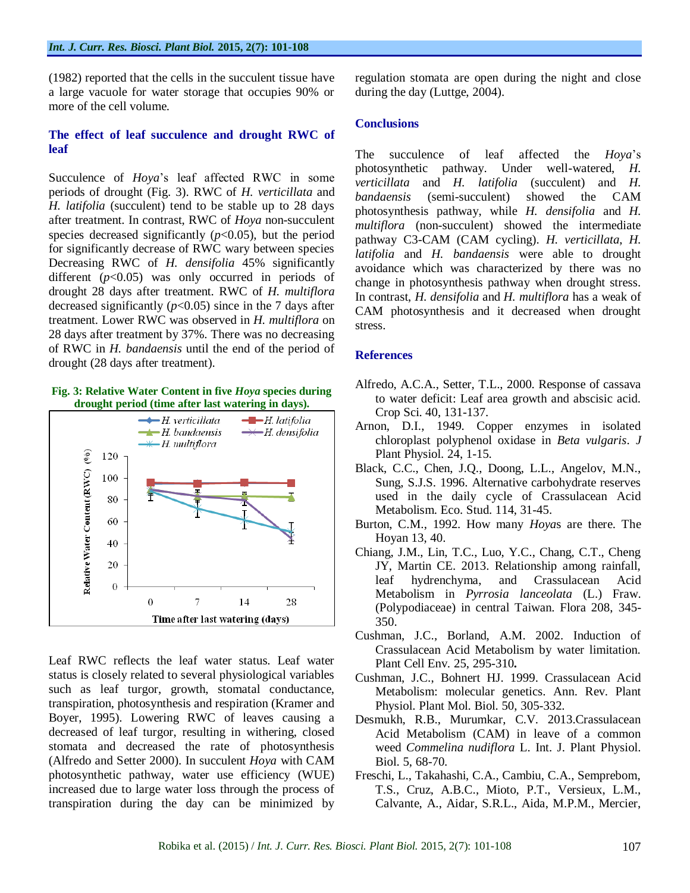(1982) reported that the cells in the succulent tissue have a large vacuole for water storage that occupies 90% or more of the cell volume.

# **The effect of leaf succulence and drought RWC of leaf**

Succulence of *Hoya*'s leaf affected RWC in some periods of drought (Fig. 3). RWC of *H. verticillata* and *H. latifolia* (succulent) tend to be stable up to 28 days after treatment. In contrast, RWC of *Hoya* non-succulent species decreased significantly  $(p<0.05)$ , but the period for significantly decrease of RWC wary between species Decreasing RWC of *H. densifolia* 45% significantly different  $(p<0.05)$  was only occurred in periods of drought 28 days after treatment. RWC of *H. multiflora* decreased significantly  $(p<0.05)$  since in the 7 days after treatment. Lower RWC was observed in *H. multiflora* on 28 days after treatment by 37%. There was no decreasing of RWC in *H. bandaensis* until the end of the period of drought (28 days after treatment).

#### **Fig. 3: Relative Water Content in five** *Hoya* **species during drought period (time after last watering in days).**



Leaf RWC reflects the leaf water status. Leaf water status is closely related to several physiological variables such as leaf turgor, growth, stomatal conductance, transpiration, photosynthesis and respiration (Kramer and Boyer, 1995). Lowering RWC of leaves causing a decreased of leaf turgor, resulting in withering, closed stomata and decreased the rate of photosynthesis (Alfredo and Setter 2000). In succulent *Hoya* with CAM photosynthetic pathway, water use efficiency (WUE) increased due to large water loss through the process of transpiration during the day can be minimized by

regulation stomata are open during the night and close during the day (Luttge, 2004).

# **Conclusions**

The succulence of leaf affected the *Hoya*'s photosynthetic pathway. Under well-watered, *H. verticillata* and *H. latifolia* (succulent) and *H. bandaensis* (semi-succulent) showed the CAM photosynthesis pathway, while *H. densifolia* and *H. multiflora* (non-succulent) showed the intermediate pathway C3-CAM (CAM cycling). *H. verticillata*, *H. latifolia* and *H. bandaensis* were able to drought avoidance which was characterized by there was no change in photosynthesis pathway when drought stress. In contrast, *H. densifolia* and *H. multiflora* has a weak of CAM photosynthesis and it decreased when drought stress.

#### **References**

- Alfredo, A.C.A., Setter, T.L., 2000. Response of cassava to water deficit: Leaf area growth and abscisic acid*.*  Crop Sci. 40, 131-137.
- Arnon, D.I., 1949. Copper enzymes in isolated chloroplast polyphenol oxidase in *Beta vulgaris*. *J*  Plant Physiol. 24, 1-15.
- Black, C.C., Chen, J.Q., Doong, L.L., Angelov, M.N., Sung, S.J.S. 1996. Alternative carbohydrate reserves used in the daily cycle of Crassulacean Acid Metabolism. Eco. Stud. 114, 31-45.
- Burton, C.M., 1992. How many *Hoya*s are there. The Hoyan 13, 40.
- Chiang, J.M., Lin, T.C., Luo, Y.C., Chang, C.T., Cheng JY, Martin CE. 2013. Relationship among rainfall, leaf hydrenchyma, and Crassulacean Acid Metabolism in *Pyrrosia lanceolata* (L.) Fraw. (Polypodiaceae) in central Taiwan. Flora 208, 345- 350.
- Cushman, J.C., Borland, A.M. 2002. Induction of Crassulacean Acid Metabolism by water limitation. Plant Cell Env. 25, 295-310**.**
- Cushman, J.C., Bohnert HJ. 1999. Crassulacean Acid Metabolism: molecular genetics. Ann. Rev. Plant Physiol. Plant Mol. Biol. 50, 305-332.
- Desmukh, R.B., Murumkar, C.V. 2013.Crassulacean Acid Metabolism (CAM) in leave of a common weed *Commelina nudiflora* L. Int. J. Plant Physiol. Biol. 5, 68-70.
- Freschi, L., Takahashi, C.A., Cambiu, C.A., Semprebom, T.S., Cruz, A.B.C., Mioto, P.T., Versieux, L.M., Calvante, A., Aidar, S.R.L., Aida, M.P.M., Mercier,